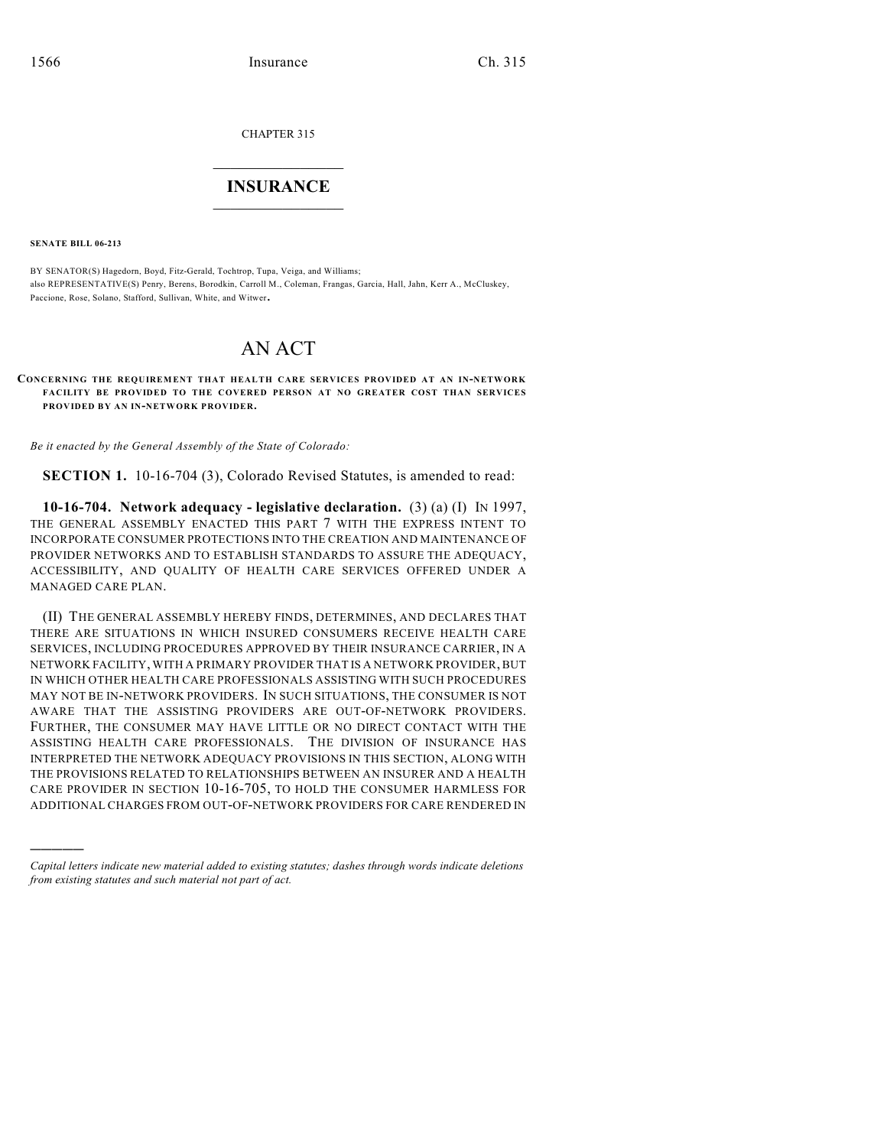CHAPTER 315

## $\mathcal{L}_\text{max}$  . The set of the set of the set of the set of the set of the set of the set of the set of the set of the set of the set of the set of the set of the set of the set of the set of the set of the set of the set **INSURANCE**  $\frac{1}{2}$  ,  $\frac{1}{2}$  ,  $\frac{1}{2}$  ,  $\frac{1}{2}$  ,  $\frac{1}{2}$  ,  $\frac{1}{2}$  ,  $\frac{1}{2}$

**SENATE BILL 06-213**

)))))

BY SENATOR(S) Hagedorn, Boyd, Fitz-Gerald, Tochtrop, Tupa, Veiga, and Williams; also REPRESENTATIVE(S) Penry, Berens, Borodkin, Carroll M., Coleman, Frangas, Garcia, Hall, Jahn, Kerr A., McCluskey, Paccione, Rose, Solano, Stafford, Sullivan, White, and Witwer.

## AN ACT

**CONCERNING THE REQUIREMENT THAT HEALTH CARE SERVICES PROVIDED AT AN IN-NETWORK FACILITY BE PROVIDED TO THE COVERED PERSON AT NO GREATER COST THAN SERVICES PROVIDED BY AN IN-NETWORK PROVIDER.**

*Be it enacted by the General Assembly of the State of Colorado:*

**SECTION 1.** 10-16-704 (3), Colorado Revised Statutes, is amended to read:

**10-16-704. Network adequacy - legislative declaration.** (3) (a) (I) IN 1997, THE GENERAL ASSEMBLY ENACTED THIS PART 7 WITH THE EXPRESS INTENT TO INCORPORATE CONSUMER PROTECTIONS INTO THE CREATION AND MAINTENANCE OF PROVIDER NETWORKS AND TO ESTABLISH STANDARDS TO ASSURE THE ADEQUACY, ACCESSIBILITY, AND QUALITY OF HEALTH CARE SERVICES OFFERED UNDER A MANAGED CARE PLAN.

(II) THE GENERAL ASSEMBLY HEREBY FINDS, DETERMINES, AND DECLARES THAT THERE ARE SITUATIONS IN WHICH INSURED CONSUMERS RECEIVE HEALTH CARE SERVICES, INCLUDING PROCEDURES APPROVED BY THEIR INSURANCE CARRIER, IN A NETWORK FACILITY, WITH A PRIMARY PROVIDER THAT IS A NETWORK PROVIDER, BUT IN WHICH OTHER HEALTH CARE PROFESSIONALS ASSISTING WITH SUCH PROCEDURES MAY NOT BE IN-NETWORK PROVIDERS. IN SUCH SITUATIONS, THE CONSUMER IS NOT AWARE THAT THE ASSISTING PROVIDERS ARE OUT-OF-NETWORK PROVIDERS. FURTHER, THE CONSUMER MAY HAVE LITTLE OR NO DIRECT CONTACT WITH THE ASSISTING HEALTH CARE PROFESSIONALS. THE DIVISION OF INSURANCE HAS INTERPRETED THE NETWORK ADEQUACY PROVISIONS IN THIS SECTION, ALONG WITH THE PROVISIONS RELATED TO RELATIONSHIPS BETWEEN AN INSURER AND A HEALTH CARE PROVIDER IN SECTION 10-16-705, TO HOLD THE CONSUMER HARMLESS FOR ADDITIONAL CHARGES FROM OUT-OF-NETWORK PROVIDERS FOR CARE RENDERED IN

*Capital letters indicate new material added to existing statutes; dashes through words indicate deletions from existing statutes and such material not part of act.*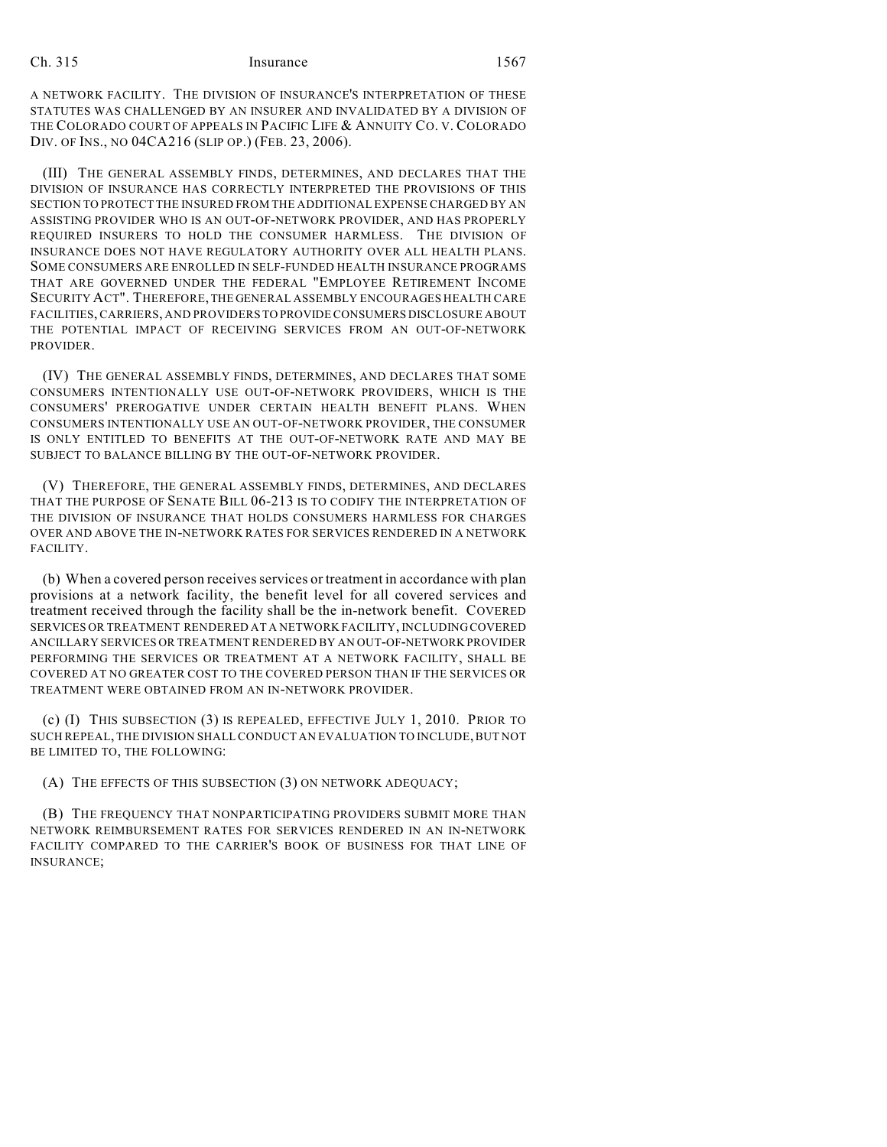## Ch. 315 Insurance 1567

A NETWORK FACILITY. THE DIVISION OF INSURANCE'S INTERPRETATION OF THESE STATUTES WAS CHALLENGED BY AN INSURER AND INVALIDATED BY A DIVISION OF THE COLORADO COURT OF APPEALS IN PACIFIC LIFE & ANNUITY CO. V. COLORADO DIV. OF INS., NO 04CA216 (SLIP OP.) (FEB. 23, 2006).

(III) THE GENERAL ASSEMBLY FINDS, DETERMINES, AND DECLARES THAT THE DIVISION OF INSURANCE HAS CORRECTLY INTERPRETED THE PROVISIONS OF THIS SECTION TO PROTECT THE INSURED FROM THE ADDITIONAL EXPENSE CHARGED BY AN ASSISTING PROVIDER WHO IS AN OUT-OF-NETWORK PROVIDER, AND HAS PROPERLY REQUIRED INSURERS TO HOLD THE CONSUMER HARMLESS. THE DIVISION OF INSURANCE DOES NOT HAVE REGULATORY AUTHORITY OVER ALL HEALTH PLANS. SOME CONSUMERS ARE ENROLLED IN SELF-FUNDED HEALTH INSURANCE PROGRAMS THAT ARE GOVERNED UNDER THE FEDERAL "EMPLOYEE RETIREMENT INCOME SECURITY ACT". THEREFORE, THE GENERAL ASSEMBLY ENCOURAGES HEALTH CARE FACILITIES, CARRIERS, AND PROVIDERS TO PROVIDE CONSUMERS DISCLOSURE ABOUT THE POTENTIAL IMPACT OF RECEIVING SERVICES FROM AN OUT-OF-NETWORK PROVIDER.

(IV) THE GENERAL ASSEMBLY FINDS, DETERMINES, AND DECLARES THAT SOME CONSUMERS INTENTIONALLY USE OUT-OF-NETWORK PROVIDERS, WHICH IS THE CONSUMERS' PREROGATIVE UNDER CERTAIN HEALTH BENEFIT PLANS. WHEN CONSUMERS INTENTIONALLY USE AN OUT-OF-NETWORK PROVIDER, THE CONSUMER IS ONLY ENTITLED TO BENEFITS AT THE OUT-OF-NETWORK RATE AND MAY BE SUBJECT TO BALANCE BILLING BY THE OUT-OF-NETWORK PROVIDER.

(V) THEREFORE, THE GENERAL ASSEMBLY FINDS, DETERMINES, AND DECLARES THAT THE PURPOSE OF SENATE BILL 06-213 IS TO CODIFY THE INTERPRETATION OF THE DIVISION OF INSURANCE THAT HOLDS CONSUMERS HARMLESS FOR CHARGES OVER AND ABOVE THE IN-NETWORK RATES FOR SERVICES RENDERED IN A NETWORK FACILITY.

(b) When a covered person receives services or treatment in accordance with plan provisions at a network facility, the benefit level for all covered services and treatment received through the facility shall be the in-network benefit. COVERED SERVICES OR TREATMENT RENDERED AT A NETWORK FACILITY, INCLUDING COVERED ANCILLARY SERVICES OR TREATMENT RENDERED BY AN OUT-OF-NETWORK PROVIDER PERFORMING THE SERVICES OR TREATMENT AT A NETWORK FACILITY, SHALL BE COVERED AT NO GREATER COST TO THE COVERED PERSON THAN IF THE SERVICES OR TREATMENT WERE OBTAINED FROM AN IN-NETWORK PROVIDER.

(c) (I) THIS SUBSECTION (3) IS REPEALED, EFFECTIVE JULY 1, 2010. PRIOR TO SUCH REPEAL, THE DIVISION SHALL CONDUCT AN EVALUATION TO INCLUDE, BUT NOT BE LIMITED TO, THE FOLLOWING:

(A) THE EFFECTS OF THIS SUBSECTION (3) ON NETWORK ADEQUACY;

(B) THE FREQUENCY THAT NONPARTICIPATING PROVIDERS SUBMIT MORE THAN NETWORK REIMBURSEMENT RATES FOR SERVICES RENDERED IN AN IN-NETWORK FACILITY COMPARED TO THE CARRIER'S BOOK OF BUSINESS FOR THAT LINE OF INSURANCE;